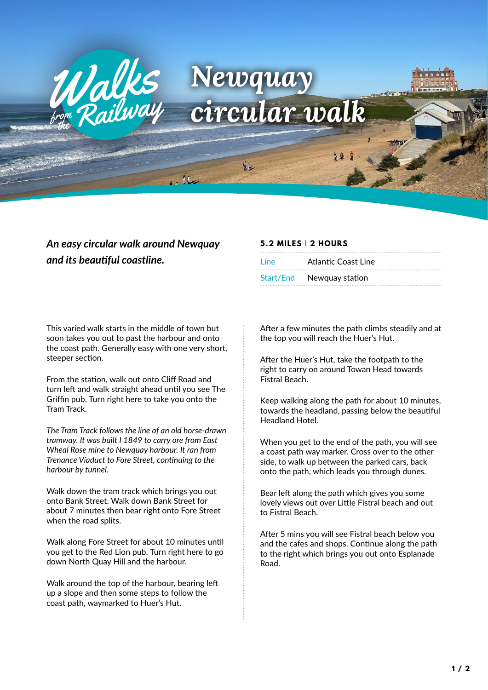

## *An easy circular walk around Newquay and its beautiful coastline.*

## This varied walk starts in the middle of town but soon takes you out to past the harbour and onto the coast path. Generally easy with one very short, steeper section.

From the station, walk out onto Cliff Road and turn left and walk straight ahead until you see The Griffin pub. Turn right here to take you onto the Tram Track.

*The Tram Track follows the line of an old horse-drawn tramway. It was built I 1849 to carry ore from East Wheal Rose mine to Newquay harbour. It ran from Trenance Viaduct to Fore Street, continuing to the harbour by tunnel.*

Walk down the tram track which brings you out onto Bank Street. Walk down Bank Street for about 7 minutes then bear right onto Fore Street when the road splits.

Walk along Fore Street for about 10 minutes until you get to the Red Lion pub. Turn right here to go down North Quay Hill and the harbour.

Walk around the top of the harbour, bearing left up a slope and then some steps to follow the coast path, waymarked to Huer's Hut.

## **5.2 MILES | 2 HOURS**

| Line      | Atlantic Coast Line |
|-----------|---------------------|
| Start/End | Newquay station     |

After a few minutes the path climbs steadily and at the top you will reach the Huer's Hut.

After the Huer's Hut, take the footpath to the right to carry on around Towan Head towards Fistral Beach.

Keep walking along the path for about 10 minutes, towards the headland, passing below the beautiful Headland Hotel.

When you get to the end of the path, you will see a coast path way marker. Cross over to the other side, to walk up between the parked cars, back onto the path, which leads you through dunes.

Bear left along the path which gives you some lovely views out over Little Fistral beach and out to Fistral Beach.

After 5 mins you will see Fistral beach below you and the cafes and shops. Continue along the path to the right which brings you out onto Esplanade Road.